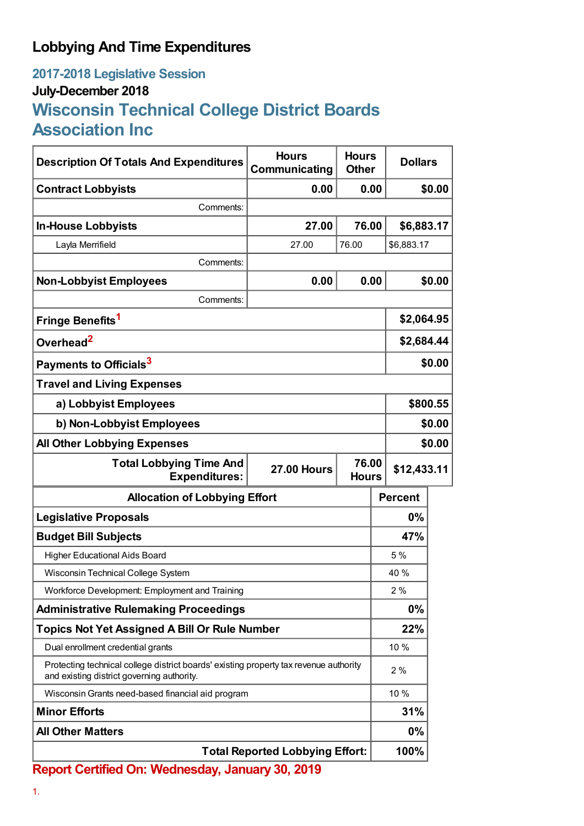## **Lobbying And Time Expenditures**

## **2017-2018 Legislative Session July-December 2018 Wisconsin Technical College District Boards Association Inc**

| <b>Description Of Totals And Expenditures</b>                                                                                       | <b>Hours</b><br>Communicating | <b>Hours</b><br><b>Other</b> | <b>Dollars</b> |        |  |
|-------------------------------------------------------------------------------------------------------------------------------------|-------------------------------|------------------------------|----------------|--------|--|
| <b>Contract Lobbyists</b>                                                                                                           | 0.00                          | 0.00                         |                | \$0.00 |  |
| Comments:                                                                                                                           |                               |                              |                |        |  |
| <b>In-House Lobbyists</b>                                                                                                           | 27.00                         | 76.00                        | \$6,883.17     |        |  |
| Layla Merrifield                                                                                                                    | 27.00                         | 76.00                        | \$6,883.17     |        |  |
| Comments:                                                                                                                           |                               |                              |                |        |  |
| <b>Non-Lobbyist Employees</b>                                                                                                       | 0.00                          | 0.00                         |                | \$0.00 |  |
| Comments:                                                                                                                           |                               |                              |                |        |  |
| Fringe Benefits <sup>1</sup>                                                                                                        |                               |                              | \$2,064.95     |        |  |
| Overhead <sup>2</sup>                                                                                                               |                               |                              | \$2,684.44     |        |  |
| Payments to Officials <sup>3</sup>                                                                                                  |                               |                              |                | \$0.00 |  |
| <b>Travel and Living Expenses</b>                                                                                                   |                               |                              |                |        |  |
| a) Lobbyist Employees                                                                                                               |                               |                              | \$800.55       |        |  |
| b) Non-Lobbyist Employees                                                                                                           |                               |                              | \$0.00         |        |  |
| <b>All Other Lobbying Expenses</b>                                                                                                  |                               |                              |                | \$0.00 |  |
| 76.00<br><b>Total Lobbying Time And</b><br><b>27.00 Hours</b><br><b>Expenditures:</b><br><b>Hours</b>                               |                               |                              | \$12,433.11    |        |  |
| <b>Allocation of Lobbying Effort</b>                                                                                                |                               |                              | <b>Percent</b> |        |  |
| <b>Legislative Proposals</b>                                                                                                        |                               |                              | 0%             |        |  |
| <b>Budget Bill Subjects</b>                                                                                                         |                               |                              | 47%            |        |  |
| <b>Higher Educational Aids Board</b>                                                                                                |                               |                              | 5 %            |        |  |
| Wisconsin Technical College System                                                                                                  |                               |                              | 40 %           |        |  |
| Workforce Development: Employment and Training                                                                                      |                               |                              | 2%             |        |  |
| <b>Administrative Rulemaking Proceedings</b>                                                                                        |                               |                              | $0\%$          |        |  |
| <b>Topics Not Yet Assigned A Bill Or Rule Number</b>                                                                                |                               |                              | 22%            |        |  |
| Dual enrollment credential grants                                                                                                   |                               |                              | 10 %           |        |  |
| Protecting technical college district boards' existing property tax revenue authority<br>and existing district governing authority. |                               |                              | 2%             |        |  |
| Wisconsin Grants need-based financial aid program                                                                                   |                               |                              | 10 %           |        |  |
| <b>Minor Efforts</b>                                                                                                                |                               |                              | 31%            |        |  |
| <b>All Other Matters</b>                                                                                                            |                               |                              | $0\%$          |        |  |
|                                                                                                                                     |                               |                              |                |        |  |

**Report Certified On: Wednesday, January 30, 2019**